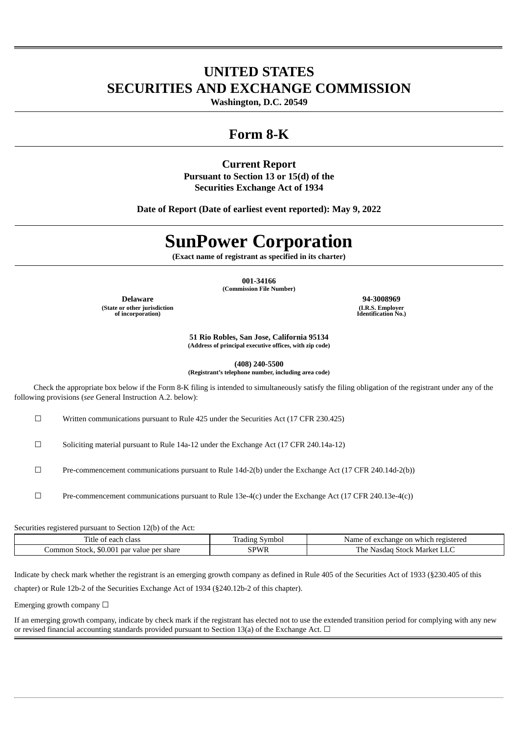# **UNITED STATES SECURITIES AND EXCHANGE COMMISSION**

**Washington, D.C. 20549**

# **Form 8-K**

## **Current Report**

**Pursuant to Section 13 or 15(d) of the Securities Exchange Act of 1934**

**Date of Report (Date of earliest event reported): May 9, 2022**

# **SunPower Corporation**

**(Exact name of registrant as specified in its charter)**

**001-34166 (Commission File Number)**

**Delaware 94-3008969 (State or other jurisdiction of incorporation)**

**(I.R.S. Employer Identification No.)**

**51 Rio Robles, San Jose, California 95134 (Address of principal executive offices, with zip code)**

**(408) 240-5500 (Registrant's telephone number, including area code)**

Check the appropriate box below if the Form 8-K filing is intended to simultaneously satisfy the filing obligation of the registrant under any of the following provisions (*see* General Instruction A.2. below):

☐ Written communications pursuant to Rule 425 under the Securities Act (17 CFR 230.425)

☐ Soliciting material pursuant to Rule 14a-12 under the Exchange Act (17 CFR 240.14a-12)

☐ Pre-commencement communications pursuant to Rule 14d-2(b) under the Exchange Act (17 CFR 240.14d-2(b))

 $\Box$  Pre-commencement communications pursuant to Rule 13e-4(c) under the Exchange Act (17 CFR 240.13e-4(c))

Securities registered pursuant to Section 12(b) of the Act:

| : class<br>Title of each                  | Symbol<br>radıng' | Name of exchange on which registered        |
|-------------------------------------------|-------------------|---------------------------------------------|
| Common Stock, \$0.001 par value per share | 3PWR              | i Stock Market I<br>ı he<br>Nasdad<br>حابلا |

Indicate by check mark whether the registrant is an emerging growth company as defined in Rule 405 of the Securities Act of 1933 (§230.405 of this chapter) or Rule 12b-2 of the Securities Exchange Act of 1934 (§240.12b-2 of this chapter).

Emerging growth company  $\Box$ 

If an emerging growth company, indicate by check mark if the registrant has elected not to use the extended transition period for complying with any new or revised financial accounting standards provided pursuant to Section 13(a) of the Exchange Act.  $\Box$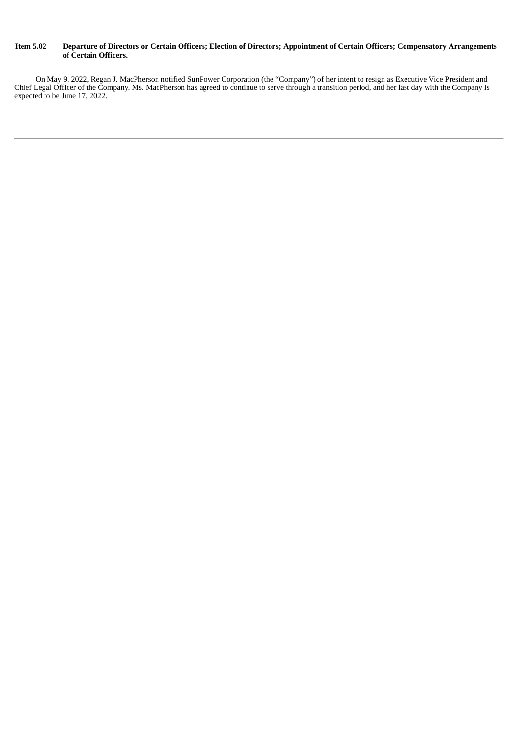### Item 5.02 Departure of Directors or Certain Officers; Election of Directors; Appointment of Certain Officers; Compensatory Arrangements **of Certain Officers.**

On May 9, 2022, Regan J. MacPherson notified SunPower Corporation (the "Company") of her intent to resign as Executive Vice President and Chief Legal Officer of the Company. Ms. MacPherson has agreed to continue to serve through a transition period, and her last day with the Company is expected to be June 17, 2022.